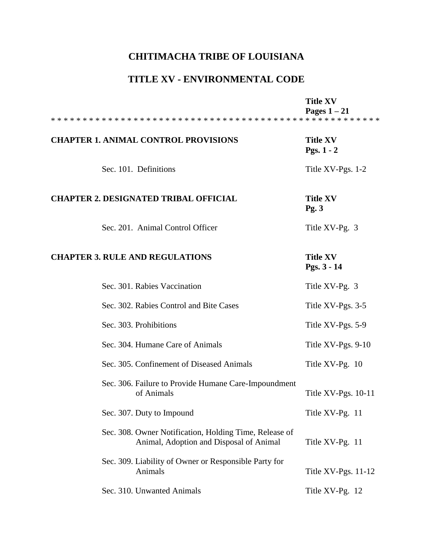## **CHITIMACHA TRIBE OF LOUISIANA**

## **TITLE XV - ENVIRONMENTAL CODE**

|                                                                                                   | <b>Title XV</b><br>Pages $1-21$ |
|---------------------------------------------------------------------------------------------------|---------------------------------|
| <b>CHAPTER 1. ANIMAL CONTROL PROVISIONS</b>                                                       | <b>Title XV</b><br>Pgs. $1 - 2$ |
| Sec. 101. Definitions                                                                             | Title XV-Pgs. 1-2               |
| <b>CHAPTER 2. DESIGNATED TRIBAL OFFICIAL</b>                                                      | <b>Title XV</b><br>Pg.3         |
| Sec. 201. Animal Control Officer                                                                  | Title XV-Pg. 3                  |
| <b>CHAPTER 3. RULE AND REGULATIONS</b>                                                            | <b>Title XV</b><br>Pgs. 3 - 14  |
| Sec. 301. Rabies Vaccination                                                                      | Title XV-Pg. 3                  |
| Sec. 302. Rabies Control and Bite Cases                                                           | Title XV-Pgs. 3-5               |
| Sec. 303. Prohibitions                                                                            | Title XV-Pgs. 5-9               |
| Sec. 304. Humane Care of Animals                                                                  | Title XV-Pgs. 9-10              |
| Sec. 305. Confinement of Diseased Animals                                                         | Title XV-Pg. 10                 |
| Sec. 306. Failure to Provide Humane Care-Impoundment<br>of Animals                                | Title XV-Pgs. 10-11             |
| Sec. 307. Duty to Impound                                                                         | Title XV-Pg. 11                 |
| Sec. 308. Owner Notification, Holding Time, Release of<br>Animal, Adoption and Disposal of Animal | Title XV-Pg. 11                 |
| Sec. 309. Liability of Owner or Responsible Party for<br>Animals                                  | Title $XV-Pgs. 11-12$           |
| Sec. 310. Unwanted Animals                                                                        | Title XV-Pg. 12                 |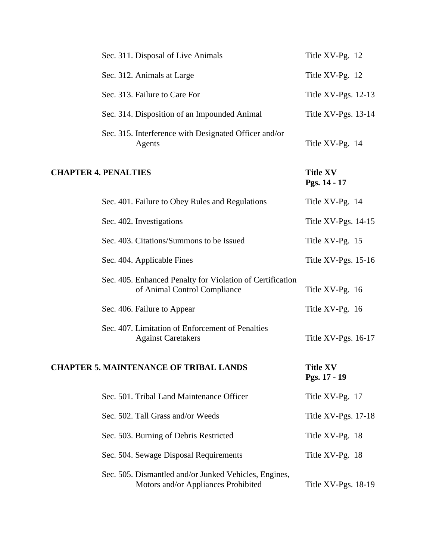|                             | Sec. 311. Disposal of Live Animals                                                           | Title XV-Pg. 12                 |
|-----------------------------|----------------------------------------------------------------------------------------------|---------------------------------|
|                             | Sec. 312. Animals at Large                                                                   | Title XV-Pg. 12                 |
|                             | Sec. 313. Failure to Care For                                                                | Title XV-Pgs. 12-13             |
|                             | Sec. 314. Disposition of an Impounded Animal                                                 | Title XV-Pgs. 13-14             |
|                             | Sec. 315. Interference with Designated Officer and/or<br>Agents                              | Title XV-Pg. 14                 |
| <b>CHAPTER 4. PENALTIES</b> |                                                                                              | <b>Title XV</b><br>Pgs. 14 - 17 |
|                             | Sec. 401. Failure to Obey Rules and Regulations                                              | Title XV-Pg. 14                 |
|                             | Sec. 402. Investigations                                                                     | Title $XV-Pgs. 14-15$           |
|                             | Sec. 403. Citations/Summons to be Issued                                                     | Title XV-Pg. 15                 |
|                             | Sec. 404. Applicable Fines                                                                   | Title $XV-Pgs. 15-16$           |
|                             | Sec. 405. Enhanced Penalty for Violation of Certification<br>of Animal Control Compliance    | Title XV-Pg. 16                 |
|                             | Sec. 406. Failure to Appear                                                                  | Title XV-Pg. 16                 |
|                             | Sec. 407. Limitation of Enforcement of Penalties<br><b>Against Caretakers</b>                | Title XV-Pgs. 16-17             |
|                             | <b>CHAPTER 5. MAINTENANCE OF TRIBAL LANDS</b>                                                | <b>Title XV</b><br>Pgs. 17 - 19 |
|                             | Sec. 501. Tribal Land Maintenance Officer                                                    | Title XV-Pg. 17                 |
|                             | Sec. 502. Tall Grass and/or Weeds                                                            | Title $XV-Pgs. 17-18$           |
|                             | Sec. 503. Burning of Debris Restricted                                                       | Title XV-Pg. 18                 |
|                             | Sec. 504. Sewage Disposal Requirements                                                       | Title XV-Pg. 18                 |
|                             | Sec. 505. Dismantled and/or Junked Vehicles, Engines,<br>Motors and/or Appliances Prohibited | Title XV-Pgs. 18-19             |